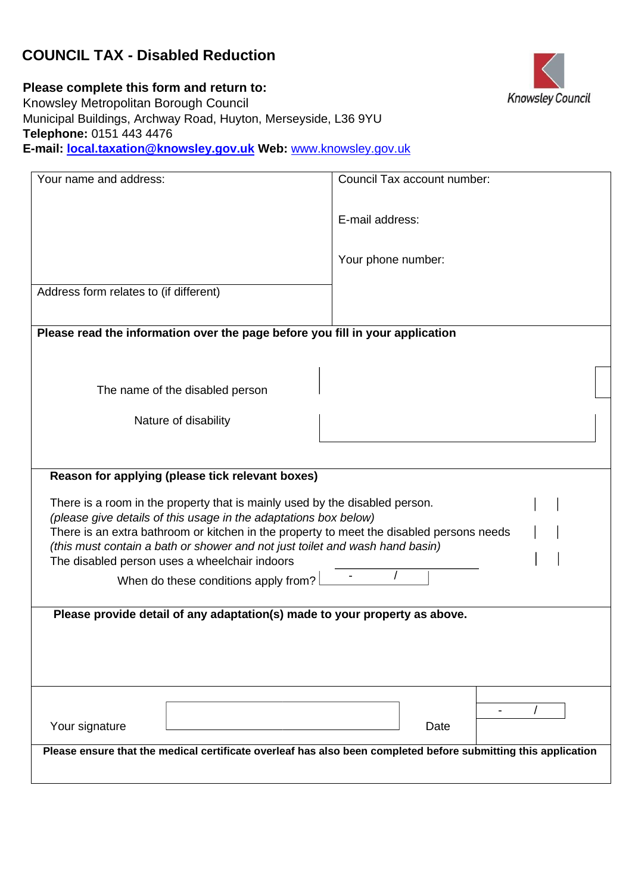# **COUNCIL TAX - Disabled Reduction**



**Please complete this form and return to:**  Knowsley Metropolitan Borough Council Municipal Buildings, Archway Road, Huyton, Merseyside, L36 9YU **Telephone:** 0151 443 4476 **E-mail: local.taxation@knowsley.gov.uk Web[:](http://www.knowsley.gov.uk/)** [www.knowsley.gov.uk](http://www.knowsley.gov.uk/)

| Your name and address:                                                                                                                                                                                                    | Council Tax account number: |  |
|---------------------------------------------------------------------------------------------------------------------------------------------------------------------------------------------------------------------------|-----------------------------|--|
|                                                                                                                                                                                                                           | E-mail address:             |  |
|                                                                                                                                                                                                                           | Your phone number:          |  |
| Address form relates to (if different)                                                                                                                                                                                    |                             |  |
| Please read the information over the page before you fill in your application                                                                                                                                             |                             |  |
| The name of the disabled person                                                                                                                                                                                           |                             |  |
| Nature of disability                                                                                                                                                                                                      |                             |  |
|                                                                                                                                                                                                                           |                             |  |
| Reason for applying (please tick relevant boxes)                                                                                                                                                                          |                             |  |
| There is a room in the property that is mainly used by the disabled person.<br>(please give details of this usage in the adaptations box below)                                                                           |                             |  |
| There is an extra bathroom or kitchen in the property to meet the disabled persons needs<br>(this must contain a bath or shower and not just toilet and wash hand basin)<br>The disabled person uses a wheelchair indoors |                             |  |
| When do these conditions apply from?                                                                                                                                                                                      |                             |  |
| Please provide detail of any adaptation(s) made to your property as above.                                                                                                                                                |                             |  |
|                                                                                                                                                                                                                           |                             |  |
|                                                                                                                                                                                                                           |                             |  |
|                                                                                                                                                                                                                           |                             |  |
| Your signature                                                                                                                                                                                                            | Date                        |  |
| Please ensure that the medical certificate overleaf has also been completed before submitting this application                                                                                                            |                             |  |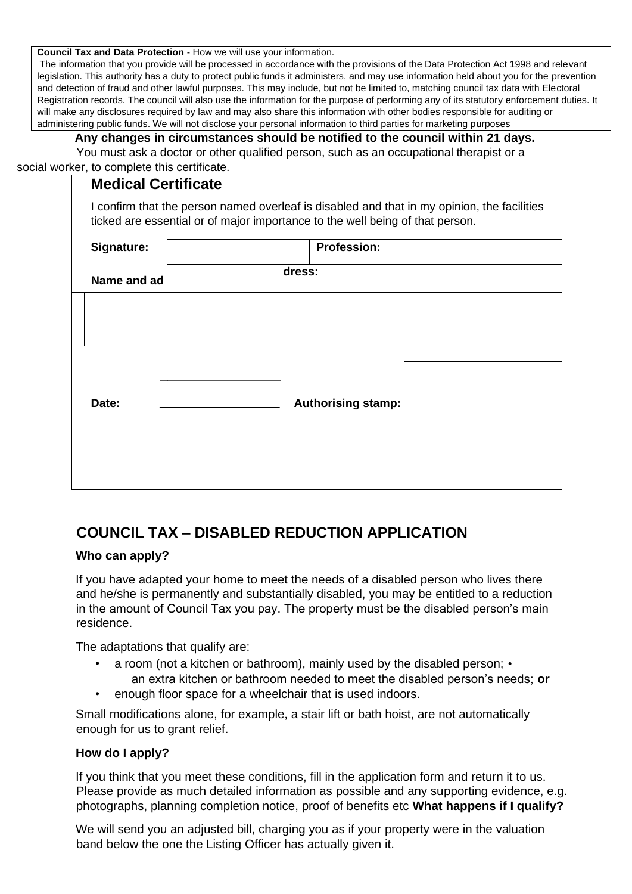**Council Tax and Data Protection** - How we will use your information.

The information that you provide will be processed in accordance with the provisions of the Data Protection Act 1998 and relevant legislation. This authority has a duty to protect public funds it administers, and may use information held about you for the prevention and detection of fraud and other lawful purposes. This may include, but not be limited to, matching council tax data with Electoral Registration records. The council will also use the information for the purpose of performing any of its statutory enforcement duties. It will make any disclosures required by law and may also share this information with other bodies responsible for auditing or administering public funds. We will not disclose your personal information to third parties for marketing purposes

### **Any changes in circumstances should be notified to the council within 21 days.**

You must ask a doctor or other qualified person, such as an occupational therapist or a social worker, to complete this certificate.

## **Medical Certificate**

I confirm that the person named overleaf is disabled and that in my opinion, the facilities ticked are essential or of major importance to the well being of that person.

| Signature:  | <b>Profession:</b>        |  |
|-------------|---------------------------|--|
| Name and ad | dress:                    |  |
|             |                           |  |
|             |                           |  |
|             |                           |  |
|             |                           |  |
| Date:       | <b>Authorising stamp:</b> |  |
|             |                           |  |
|             |                           |  |
|             |                           |  |

# **COUNCIL TAX – DISABLED REDUCTION APPLICATION**

### **Who can apply?**

If you have adapted your home to meet the needs of a disabled person who lives there and he/she is permanently and substantially disabled, you may be entitled to a reduction in the amount of Council Tax you pay. The property must be the disabled person's main residence.

The adaptations that qualify are:

- a room (not a kitchen or bathroom), mainly used by the disabled person; an extra kitchen or bathroom needed to meet the disabled person's needs; **or**
- enough floor space for a wheelchair that is used indoors.

Small modifications alone, for example, a stair lift or bath hoist, are not automatically enough for us to grant relief.

#### **How do I apply?**

If you think that you meet these conditions, fill in the application form and return it to us. Please provide as much detailed information as possible and any supporting evidence, e.g. photographs, planning completion notice, proof of benefits etc **What happens if I qualify?** 

We will send you an adjusted bill, charging you as if your property were in the valuation band below the one the Listing Officer has actually given it.